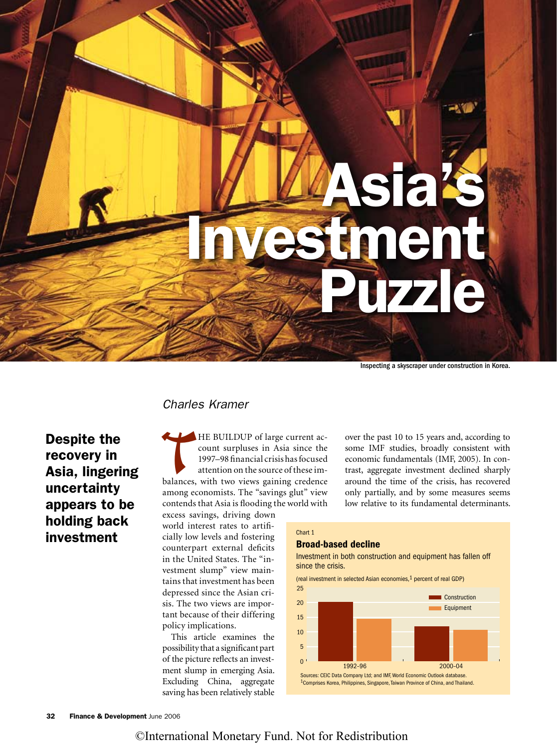Asia's ent izzle

Inspecting a skyscraper under construction in Korea.

## *Charles Kramer*

HE BUILDUP of large current account surpluses in Asia since the<br>1997–98 financial crisis has focused<br>attention on the source of these im-<br>balances, with two views gaining credence<br>among economists. The "savings glut" view<br> count surpluses in Asia since the 1997–98 financial crisis has focused attention on the source of these imbalances, with two views gaining credence among economists. The "savings glut" view contends that Asia is flooding the world with

excess savings, driving down world interest rates to artificially low levels and fostering counterpart external deficits in the United States. The "investment slump" view maintains that investment has been depressed since the Asian crisis. The two views are important because of their differing policy implications.

This article examines the possibility that a significant part of the picture reflects an investment slump in emerging Asia. Excluding China, aggregate saving has been relatively stable over the past 10 to 15 years and, according to some IMF studies, broadly consistent with economic fundamentals (IMF, 2005). In contrast, aggregate investment declined sharply around the time of the crisis, has recovered only partially, and by some measures seems low relative to its fundamental determinants.

#### Chart 1

## Broad-based decline

Investment in both construction and equipment has fallen off since the crisis.

(real investment in selected Asian economies,1 percent of real GDP)



Despite the recovery in [Asia, lingering](#page--1-0)  uncertainty appears to be holding back investment

# ©International Monetary Fund. Not for Redistribution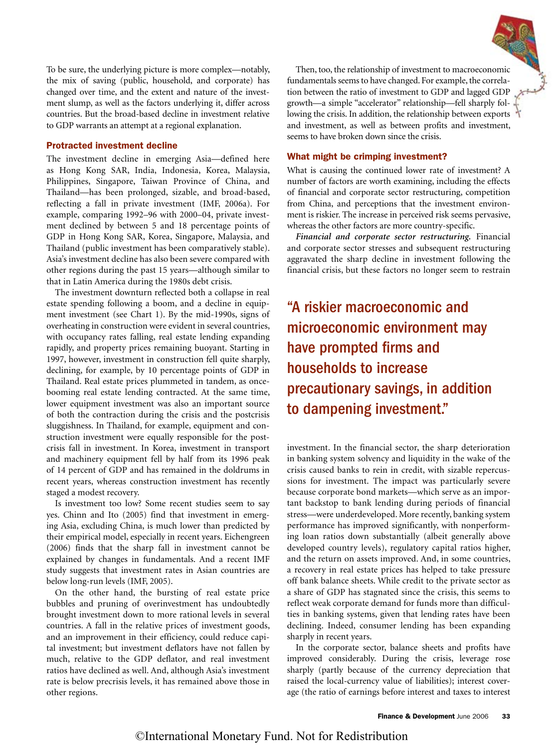

#### Protracted investment decline

The investment decline in emerging Asia—defined here as Hong Kong SAR, India, Indonesia, Korea, Malaysia, Philippines, Singapore, Taiwan Province of China, and Thailand—has been prolonged, sizable, and broad-based, reflecting a fall in private investment (IMF, 2006a). For example, comparing 1992–96 with 2000–04, private investment declined by between 5 and 18 percentage points of GDP in Hong Kong SAR, Korea, Singapore, Malaysia, and Thailand (public investment has been comparatively stable). Asia's investment decline has also been severe compared with other regions during the past 15 years—although similar to that in Latin America during the 1980s debt crisis.

The investment downturn reflected both a collapse in real estate spending following a boom, and a decline in equipment investment (see Chart 1). By the mid-1990s, signs of overheating in construction were evident in several countries, with occupancy rates falling, real estate lending expanding rapidly, and property prices remaining buoyant. Starting in 1997, however, investment in construction fell quite sharply, declining, for example, by 10 percentage points of GDP in Thailand. Real estate prices plummeted in tandem, as oncebooming real estate lending contracted. At the same time, lower equipment investment was also an important source of both the contraction during the crisis and the postcrisis sluggishness. In Thailand, for example, equipment and construction investment were equally responsible for the postcrisis fall in investment. In Korea, investment in transport and machinery equipment fell by half from its 1996 peak of 14 percent of GDP and has remained in the doldrums in recent years, whereas construction investment has recently staged a modest recovery.

Is investment too low? Some recent studies seem to say yes. Chinn and Ito (2005) find that investment in emerging Asia, excluding China, is much lower than predicted by their empirical model, especially in recent years. Eichengreen (2006) finds that the sharp fall in investment cannot be explained by changes in fundamentals. And a recent IMF study suggests that investment rates in Asian countries are below long-run levels (IMF, 2005).

On the other hand, the bursting of real estate price bubbles and pruning of overinvestment has undoubtedly brought investment down to more rational levels in several countries. A fall in the relative prices of investment goods, and an improvement in their efficiency, could reduce capital investment; but investment deflators have not fallen by much, relative to the GDP deflator, and real investment ratios have declined as well. And, although Asia's investment rate is below precrisis levels, it has remained above those in other regions.

Then, too, the relationship of investment to macroeconomic fundamentals seems to have changed. For example, the correlation between the ratio of investment to GDP and lagged GDP growth—a simple "accelerator" relationship—fell sharply following the crisis. In addition, the relationship between exports and investment, as well as between profits and investment, seems to have broken down since the crisis.

#### What might be crimping investment?

What is causing the continued lower rate of investment? A number of factors are worth examining, including the effects of financial and corporate sector restructuring, competition from China, and perceptions that the investment environment is riskier. The increase in perceived risk seems pervasive, whereas the other factors are more country-specific.

*Financial and corporate sector restructuring.* Financial and corporate sector stresses and subsequent restructuring aggravated the sharp decline in investment following the financial crisis, but these factors no longer seem to restrain

"A riskier macroeconomic and microeconomic environment may have prompted firms and households to increase precautionary savings, in addition to dampening investment."

investment. In the financial sector, the sharp deterioration in banking system solvency and liquidity in the wake of the crisis caused banks to rein in credit, with sizable repercussions for investment. The impact was particularly severe because corporate bond markets—which serve as an important backstop to bank lending during periods of financial stress—were underdeveloped. More recently, banking system performance has improved significantly, with nonperforming loan ratios down substantially (albeit generally above developed country levels), regulatory capital ratios higher, and the return on assets improved. And, in some countries, a recovery in real estate prices has helped to take pressure off bank balance sheets. While credit to the private sector as a share of GDP has stagnated since the crisis, this seems to reflect weak corporate demand for funds more than difficulties in banking systems, given that lending rates have been declining. Indeed, consumer lending has been expanding sharply in recent years.

In the corporate sector, balance sheets and profits have improved considerably. During the crisis, leverage rose sharply (partly because of the currency depreciation that raised the local-currency value of liabilities); interest coverage (the ratio of earnings before interest and taxes to interest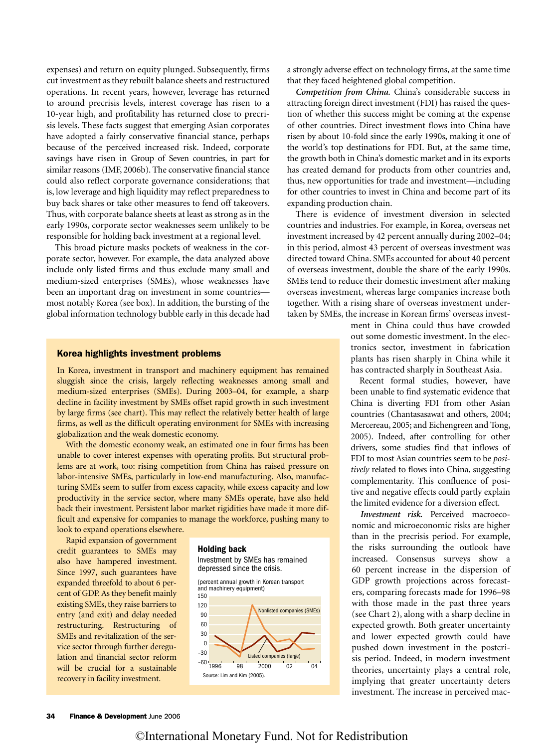expenses) and return on equity plunged. Subsequently, firms cut investment as they rebuilt balance sheets and restructured operations. In recent years, however, leverage has returned to around precrisis levels, interest coverage has risen to a 10-year high, and profitability has returned close to precrisis levels. These facts suggest that emerging Asian corporates have adopted a fairly conservative financial stance, perhaps because of the perceived increased risk. Indeed, corporate savings have risen in Group of Seven countries, in part for similar reasons (IMF, 2006b). The conservative financial stance could also reflect corporate governance considerations; that is, low leverage and high liquidity may reflect preparedness to buy back shares or take other measures to fend off takeovers. Thus, with corporate balance sheets at least as strong as in the early 1990s, corporate sector weaknesses seem unlikely to be responsible for holding back investment at a regional level.

This broad picture masks pockets of weakness in the corporate sector, however. For example, the data analyzed above include only listed firms and thus exclude many small and medium-sized enterprises (SMEs), whose weaknesses have been an important drag on investment in some countries most notably Korea (see box). In addition, the bursting of the global information technology bubble early in this decade had

#### Korea highlights investment problems

In Korea, investment in transport and machinery equipment has remained sluggish since the crisis, largely reflecting weaknesses among small and medium-sized enterprises (SMEs). During 2003–04, for example, a sharp decline in facility investment by SMEs offset rapid growth in such investment by large firms (see chart). This may reflect the relatively better health of large firms, as well as the difficult operating environment for SMEs with increasing globalization and the weak domestic economy.

With the domestic economy weak, an estimated one in four firms has been unable to cover interest expenses with operating profits. But structural problems are at work, too: rising competition from China has raised pressure on labor-intensive SMEs, particularly in low-end manufacturing. Also, manufacturing SMEs seem to suffer from excess capacity, while excess capacity and low productivity in the service sector, where many SMEs operate, have also held back their investment. Persistent labor market rigidities have made it more difficult and expensive for companies to manage the workforce, pushing many to look to expand operations elsewhere.

Rapid expansion of government credit guarantees to SMEs may also have hampered investment. Since 1997, such guarantees have expanded threefold to about 6 percent of GDP. As they benefit mainly existing SMEs, they raise barriers to entry (and exit) and delay needed restructuring. Restructuring of SMEs and revitalization of the service sector through further deregulation and financial sector reform will be crucial for a sustainable recovery in facility investment. Source: Lim and Kim (2005)

#### Holding back





a strongly adverse effect on technology firms, at the same time that they faced heightened global competition.

*Competition from China.* China's considerable success in attracting foreign direct investment (FDI) has raised the question of whether this success might be coming at the expense of other countries. Direct investment flows into China have risen by about 10-fold since the early 1990s, making it one of the world's top destinations for FDI. But, at the same time, the growth both in China's domestic market and in its exports has created demand for products from other countries and, thus, new opportunities for trade and investment—including for other countries to invest in China and become part of its expanding production chain.

There is evidence of investment diversion in selected countries and industries. For example, in Korea, overseas net investment increased by 42 percent annually during 2002–04; in this period, almost 43 percent of overseas investment was directed toward China. SMEs accounted for about 40 percent of overseas investment, double the share of the early 1990s. SMEs tend to reduce their domestic investment after making overseas investment, whereas large companies increase both together. With a rising share of overseas investment undertaken by SMEs, the increase in Korean firms' overseas invest-

> ment in China could thus have crowded out some domestic investment. In the electronics sector, investment in fabrication plants has risen sharply in China while it has contracted sharply in Southeast Asia.

> Recent formal studies, however, have been unable to find systematic evidence that China is diverting FDI from other Asian countries (Chantasasawat and others, 2004; Mercereau, 2005; and Eichengreen and Tong, 2005). Indeed, after controlling for other drivers, some studies find that inflows of FDI to most Asian countries seem to be *positively* related to flows into China, suggesting complementarity. This confluence of positive and negative effects could partly explain the limited evidence for a diversion effect.

> *Investment risk.* Perceived macroeconomic and microeconomic risks are higher than in the precrisis period. For example, the risks surrounding the outlook have increased. Consensus surveys show a 60 percent increase in the dispersion of GDP growth projections across forecasters, comparing forecasts made for 1996–98 with those made in the past three years (see Chart 2), along with a sharp decline in expected growth. Both greater uncertainty and lower expected growth could have pushed down investment in the postcrisis period. Indeed, in modern investment theories, uncertainty plays a central role, implying that greater uncertainty deters investment. The increase in perceived mac-

## ©International Monetary Fund. Not for Redistribution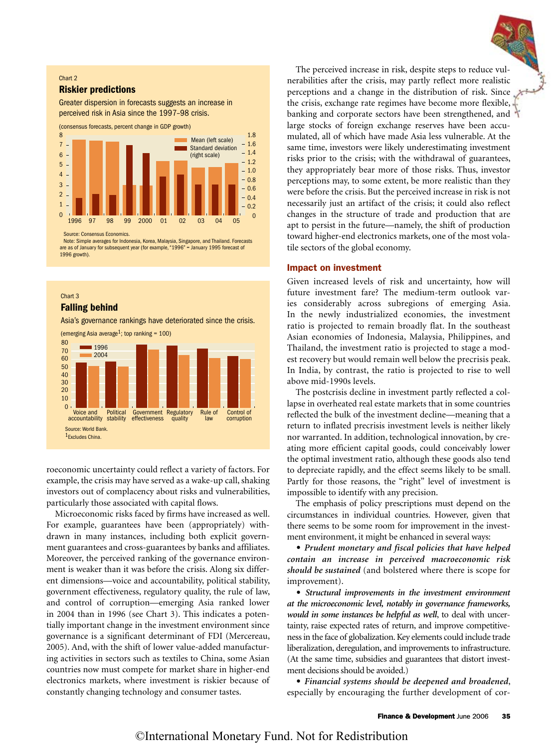#### Chart 2

#### Riskier predictions

Greater dispersion in forecasts suggests an increase in perceived risk in Asia since the 1997–98 crisis.



Source: Consensus Economics.

Note: Simple averages for Indonesia, Korea, Malaysia, Singapore, and Thailand. Forecasts are as of January for subsequent year (for example, "1996" = January 1995 forecast of 1996 growth).

## Chart 3 Falling behind

Asia's governance rankings have deteriorated since the crisis.



roeconomic uncertainty could reflect a variety of factors. For example, the crisis may have served as a wake-up call, shaking investors out of complacency about risks and vulnerabilities, particularly those associated with capital flows.

Microeconomic risks faced by firms have increased as well. For example, guarantees have been (appropriately) withdrawn in many instances, including both explicit government guarantees and cross-guarantees by banks and affiliates. Moreover, the perceived ranking of the governance environment is weaker than it was before the crisis. Along six different dimensions—voice and accountability, political stability, government effectiveness, regulatory quality, the rule of law, and control of corruption—emerging Asia ranked lower in 2004 than in 1996 (see Chart 3). This indicates a potentially important change in the investment environment since governance is a significant determinant of FDI (Mercereau, 2005). And, with the shift of lower value-added manufacturing activities in sectors such as textiles to China, some Asian countries now must compete for market share in higher-end electronics markets, where investment is riskier because of constantly changing technology and consumer tastes.

The perceived increase in risk, despite steps to reduce vulnerabilities after the crisis, may partly reflect more realistic perceptions and a change in the distribution of risk. Since the crisis, exchange rate regimes have become more flexible, banking and corporate sectors have been strengthened, and large stocks of foreign exchange reserves have been accumulated, all of which have made Asia less vulnerable. At the same time, investors were likely underestimating investment risks prior to the crisis; with the withdrawal of guarantees, they appropriately bear more of those risks. Thus, investor perceptions may, to some extent, be more realistic than they were before the crisis. But the perceived increase in risk is not necessarily just an artifact of the crisis; it could also reflect changes in the structure of trade and production that are apt to persist in the future—namely, the shift of production toward higher-end electronics markets, one of the most volatile sectors of the global economy.

## Impact on investment

Given increased levels of risk and uncertainty, how will future investment fare? The medium-term outlook varies considerably across subregions of emerging Asia. In the newly industrialized economies, the investment ratio is projected to remain broadly flat. In the southeast Asian economies of Indonesia, Malaysia, Philippines, and Thailand, the investment ratio is projected to stage a modest recovery but would remain well below the precrisis peak. In India, by contrast, the ratio is projected to rise to well above mid-1990s levels.

The postcrisis decline in investment partly reflected a collapse in overheated real estate markets that in some countries reflected the bulk of the investment decline—meaning that a return to inflated precrisis investment levels is neither likely nor warranted. In addition, technological innovation, by creating more efficient capital goods, could conceivably lower the optimal investment ratio, although these goods also tend to depreciate rapidly, and the effect seems likely to be small. Partly for those reasons, the "right" level of investment is impossible to identify with any precision.

The emphasis of policy prescriptions must depend on the circumstances in individual countries. However, given that there seems to be some room for improvement in the investment environment, it might be enhanced in several ways:

• *Prudent monetary and fiscal policies that have helped contain an increase in perceived macroeconomic risk should be sustained* (and bolstered where there is scope for improvement).

• *Structural improvements in the investment environment at the microeconomic level, notably in governance frameworks, would in some instances be helpful as well*, to deal with uncertainty, raise expected rates of return, and improve competitiveness in the face of globalization. Key elements could include trade liberalization, deregulation, and improvements to infrastructure. (At the same time, subsidies and guarantees that distort investment decisions should be avoided.)

• *Financial systems should be deepened and broadened*, especially by encouraging the further development of cor